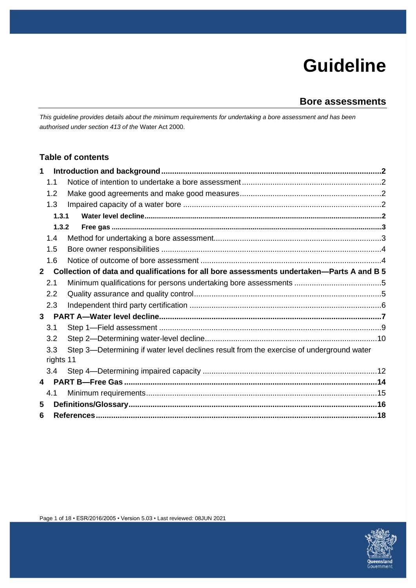# **Guideline**

# **Bore assessments**

*This guideline provides details about the minimum requirements for undertaking a bore assessment and has been authorised under section 413 of the* Water Act 2000.

## **Table of contents**

| $\mathbf{1}$            |                                                                                           |                                                                                          |  |  |  |  |
|-------------------------|-------------------------------------------------------------------------------------------|------------------------------------------------------------------------------------------|--|--|--|--|
|                         | 1.1                                                                                       |                                                                                          |  |  |  |  |
|                         | 1.2                                                                                       |                                                                                          |  |  |  |  |
|                         | 1.3                                                                                       |                                                                                          |  |  |  |  |
|                         | 1.3.1                                                                                     |                                                                                          |  |  |  |  |
|                         | 1.3.2                                                                                     |                                                                                          |  |  |  |  |
|                         | 1.4                                                                                       |                                                                                          |  |  |  |  |
|                         | 1.5                                                                                       |                                                                                          |  |  |  |  |
|                         | 1.6                                                                                       |                                                                                          |  |  |  |  |
| $\mathbf{2}$            | Collection of data and qualifications for all bore assessments undertaken-Parts A and B 5 |                                                                                          |  |  |  |  |
|                         | 2.1                                                                                       |                                                                                          |  |  |  |  |
|                         | 2.2                                                                                       |                                                                                          |  |  |  |  |
|                         | 2.3                                                                                       |                                                                                          |  |  |  |  |
| 3 <sup>7</sup>          |                                                                                           |                                                                                          |  |  |  |  |
|                         | 3.1                                                                                       |                                                                                          |  |  |  |  |
|                         | 3.2                                                                                       |                                                                                          |  |  |  |  |
|                         | 3.3                                                                                       | Step 3-Determining if water level declines result from the exercise of underground water |  |  |  |  |
| rights 11               |                                                                                           |                                                                                          |  |  |  |  |
|                         | $3.4^{\circ}$                                                                             |                                                                                          |  |  |  |  |
| $\overline{\mathbf{4}}$ |                                                                                           |                                                                                          |  |  |  |  |
|                         | 4.1                                                                                       |                                                                                          |  |  |  |  |
| 5                       |                                                                                           |                                                                                          |  |  |  |  |
| 6                       |                                                                                           |                                                                                          |  |  |  |  |

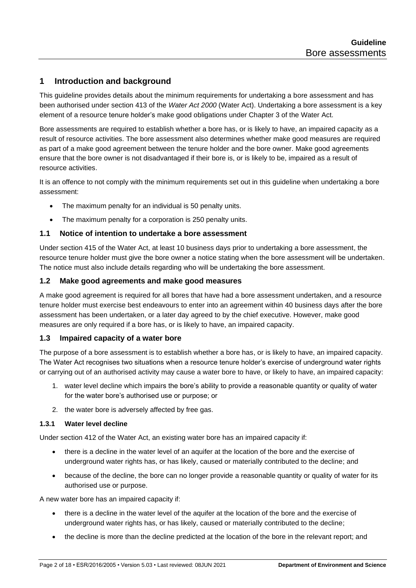## <span id="page-1-0"></span>**1 Introduction and background**

This guideline provides details about the minimum requirements for undertaking a bore assessment and has been authorised under section 413 of the *Water Act 2000* (Water Act). Undertaking a bore assessment is a key element of a resource tenure holder's make good obligations under Chapter 3 of the Water Act.

Bore assessments are required to establish whether a bore has, or is likely to have, an impaired capacity as a result of resource activities. The bore assessment also determines whether make good measures are required as part of a make good agreement between the tenure holder and the bore owner. Make good agreements ensure that the bore owner is not disadvantaged if their bore is, or is likely to be, impaired as a result of resource activities.

It is an offence to not comply with the minimum requirements set out in this guideline when undertaking a bore assessment:

- The maximum penalty for an individual is 50 penalty units.
- The maximum penalty for a corporation is 250 penalty units.

## <span id="page-1-1"></span>**1.1 Notice of intention to undertake a bore assessment**

Under section 415 of the Water Act, at least 10 business days prior to undertaking a bore assessment, the resource tenure holder must give the bore owner a notice stating when the bore assessment will be undertaken. The notice must also include details regarding who will be undertaking the bore assessment.

#### <span id="page-1-2"></span>**1.2 Make good agreements and make good measures**

A make good agreement is required for all bores that have had a bore assessment undertaken, and a resource tenure holder must exercise best endeavours to enter into an agreement within 40 business days after the bore assessment has been undertaken, or a later day agreed to by the chief executive. However, make good measures are only required if a bore has, or is likely to have, an impaired capacity.

## <span id="page-1-3"></span>**1.3 Impaired capacity of a water bore**

The purpose of a bore assessment is to establish whether a bore has, or is likely to have, an impaired capacity. The Water Act recognises two situations when a resource tenure holder's exercise of underground water rights or carrying out of an authorised activity may cause a water bore to have, or likely to have, an impaired capacity:

- 1. water level decline which impairs the bore's ability to provide a reasonable quantity or quality of water for the water bore's authorised use or purpose; or
- 2. the water bore is adversely affected by free gas.

#### <span id="page-1-4"></span>**1.3.1 Water level decline**

Under section 412 of the Water Act, an existing water bore has an impaired capacity if:

- there is a decline in the water level of an aquifer at the location of the bore and the exercise of underground water rights has, or has likely, caused or materially contributed to the decline; and
- because of the decline, the bore can no longer provide a reasonable quantity or quality of water for its authorised use or purpose.

A new water bore has an impaired capacity if:

- there is a decline in the water level of the aquifer at the location of the bore and the exercise of underground water rights has, or has likely, caused or materially contributed to the decline;
- the decline is more than the decline predicted at the location of the bore in the relevant report; and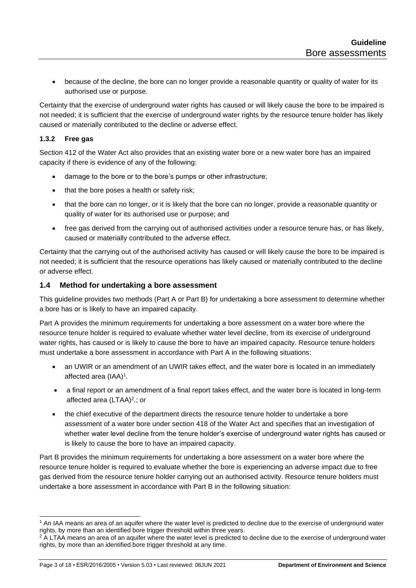• because of the decline, the bore can no longer provide a reasonable quantity or quality of water for its authorised use or purpose.

Certainty that the exercise of underground water rights has caused or will likely cause the bore to be impaired is not needed; it is sufficient that the exercise of underground water rights by the resource tenure holder has likely caused or materially contributed to the decline or adverse effect.

## <span id="page-2-0"></span>**1.3.2 Free gas**

Section 412 of the Water Act also provides that an existing water bore or a new water bore has an impaired capacity if there is evidence of any of the following:

- damage to the bore or to the bore's pumps or other infrastructure;
- that the bore poses a health or safety risk;
- that the bore can no longer, or it is likely that the bore can no longer, provide a reasonable quantity or quality of water for its authorised use or purpose; and
- free gas derived from the carrying out of authorised activities under a resource tenure has, or has likely, caused or materially contributed to the adverse effect.

Certainty that the carrying out of the authorised activity has caused or will likely cause the bore to be impaired is not needed; it is sufficient that the resource operations has likely caused or materially contributed to the decline or adverse effect.

#### <span id="page-2-1"></span>**1.4 Method for undertaking a bore assessment**

This guideline provides two methods (Part A or Part B) for undertaking a bore assessment to determine whether a bore has or is likely to have an impaired capacity.

Part A provides the minimum requirements for undertaking a bore assessment on a water bore where the resource tenure holder is required to evaluate whether water level decline, from its exercise of underground water rights, has caused or is likely to cause the bore to have an impaired capacity. Resource tenure holders must undertake a bore assessment in accordance with Part A in the following situations:

- an UWIR or an amendment of an UWIR takes effect, and the water bore is located in an immediately affected area (IAA)<sup>1</sup>.
- a final report or an amendment of a final report takes effect, and the water bore is located in long-term affected area (LTAA)<sup>2</sup>.; or
- the chief executive of the department directs the resource tenure holder to undertake a bore assessment of a water bore under section 418 of the Water Act and specifies that an investigation of whether water level decline from the tenure holder's exercise of underground water rights has caused or is likely to cause the bore to have an impaired capacity.

Part B provides the minimum requirements for undertaking a bore assessment on a water bore where the resource tenure holder is required to evaluate whether the bore is experiencing an adverse impact due to free gas derived from the resource tenure holder carrying out an authorised activity. Resource tenure holders must undertake a bore assessment in accordance with Part B in the following situation:

<sup>1</sup> An IAA means an area of an aquifer where the water level is predicted to decline due to the exercise of underground water rights, by more than an identified bore trigger threshold within three years.

<sup>&</sup>lt;sup>2</sup> A LTAA means an area of an aquifer where the water level is predicted to decline due to the exercise of underground water rights, by more than an identified bore trigger threshold at any time.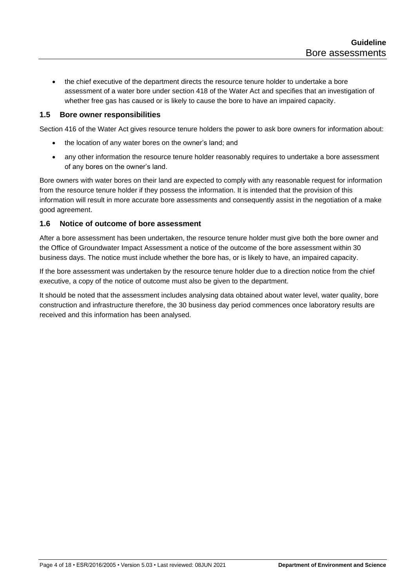• the chief executive of the department directs the resource tenure holder to undertake a bore assessment of a water bore under section 418 of the Water Act and specifies that an investigation of whether free gas has caused or is likely to cause the bore to have an impaired capacity.

## <span id="page-3-0"></span>**1.5 Bore owner responsibilities**

Section 416 of the Water Act gives resource tenure holders the power to ask bore owners for information about:

- the location of any water bores on the owner's land; and
- any other information the resource tenure holder reasonably requires to undertake a bore assessment of any bores on the owner's land.

Bore owners with water bores on their land are expected to comply with any reasonable request for information from the resource tenure holder if they possess the information. It is intended that the provision of this information will result in more accurate bore assessments and consequently assist in the negotiation of a make good agreement.

## <span id="page-3-1"></span>**1.6 Notice of outcome of bore assessment**

After a bore assessment has been undertaken, the resource tenure holder must give both the bore owner and the Office of Groundwater Impact Assessment a notice of the outcome of the bore assessment within 30 business days. The notice must include whether the bore has, or is likely to have, an impaired capacity.

If the bore assessment was undertaken by the resource tenure holder due to a direction notice from the chief executive, a copy of the notice of outcome must also be given to the department.

It should be noted that the assessment includes analysing data obtained about water level, water quality, bore construction and infrastructure therefore, the 30 business day period commences once laboratory results are received and this information has been analysed.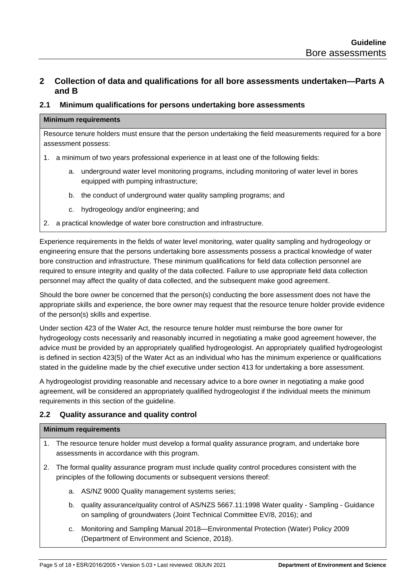## <span id="page-4-0"></span>**2 Collection of data and qualifications for all bore assessments undertaken—Parts A and B**

#### <span id="page-4-1"></span>**2.1 Minimum qualifications for persons undertaking bore assessments**

#### **Minimum requirements**

Resource tenure holders must ensure that the person undertaking the field measurements required for a bore assessment possess:

- 1. a minimum of two years professional experience in at least one of the following fields:
	- a. underground water level monitoring programs, including monitoring of water level in bores equipped with pumping infrastructure;
	- b. the conduct of underground water quality sampling programs; and
	- c. hydrogeology and/or engineering; and
- 2. a practical knowledge of water bore construction and infrastructure.

Experience requirements in the fields of water level monitoring, water quality sampling and hydrogeology or engineering ensure that the persons undertaking bore assessments possess a practical knowledge of water bore construction and infrastructure. These minimum qualifications for field data collection personnel are required to ensure integrity and quality of the data collected. Failure to use appropriate field data collection personnel may affect the quality of data collected, and the subsequent make good agreement.

Should the bore owner be concerned that the person(s) conducting the bore assessment does not have the appropriate skills and experience, the bore owner may request that the resource tenure holder provide evidence of the person(s) skills and expertise.

Under section 423 of the Water Act, the resource tenure holder must reimburse the bore owner for hydrogeology costs necessarily and reasonably incurred in negotiating a make good agreement however, the advice must be provided by an appropriately qualified hydrogeologist. An appropriately qualified hydrogeologist is defined in section 423(5) of the Water Act as an individual who has the minimum experience or qualifications stated in the guideline made by the chief executive under section 413 for undertaking a bore assessment.

A hydrogeologist providing reasonable and necessary advice to a bore owner in negotiating a make good agreement, will be considered an appropriately qualified hydrogeologist if the individual meets the minimum requirements in this section of the guideline.

## <span id="page-4-2"></span>**2.2 Quality assurance and quality control**

#### **Minimum requirements**

- 1. The resource tenure holder must develop a formal quality assurance program, and undertake bore assessments in accordance with this program.
- 2. The formal quality assurance program must include quality control procedures consistent with the principles of the following documents or subsequent versions thereof:
	- a. AS/NZ 9000 Quality management systems series;
	- b. quality assurance/quality control of AS/NZS 5667.11:1998 Water quality Sampling Guidance on sampling of groundwaters (Joint Technical Committee EV/8, 2016); and
	- c. Monitoring and Sampling Manual 2018—Environmental Protection (Water) Policy 2009 (Department of Environment and Science, 2018).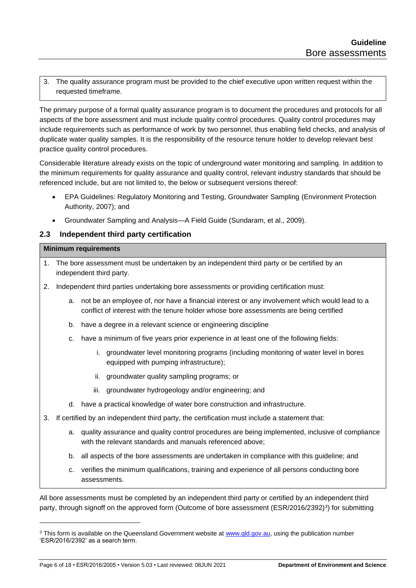3. The quality assurance program must be provided to the chief executive upon written request within the requested timeframe.

The primary purpose of a formal quality assurance program is to document the procedures and protocols for all aspects of the bore assessment and must include quality control procedures. Quality control procedures may include requirements such as performance of work by two personnel, thus enabling field checks, and analysis of duplicate water quality samples. It is the responsibility of the resource tenure holder to develop relevant best practice quality control procedures.

Considerable literature already exists on the topic of underground water monitoring and sampling. In addition to the minimum requirements for quality assurance and quality control, relevant industry standards that should be referenced include, but are not limited to, the below or subsequent versions thereof:

- EPA Guidelines: Regulatory Monitoring and Testing, Groundwater Sampling (Environment Protection Authority, 2007); and
- Groundwater Sampling and Analysis—A Field Guide (Sundaram, et al., 2009).

## <span id="page-5-0"></span>**2.3 Independent third party certification**

#### **Minimum requirements**

- 1. The bore assessment must be undertaken by an independent third party or be certified by an independent third party.
- 2. Independent third parties undertaking bore assessments or providing certification must:
	- a. not be an employee of, nor have a financial interest or any involvement which would lead to a conflict of interest with the tenure holder whose bore assessments are being certified
	- b. have a degree in a relevant science or engineering discipline
	- c. have a minimum of five years prior experience in at least one of the following fields:
		- i. groundwater level monitoring programs (including monitoring of water level in bores equipped with pumping infrastructure);
		- ii. groundwater quality sampling programs; or
		- iii. groundwater hydrogeology and/or engineering; and
	- d. have a practical knowledge of water bore construction and infrastructure.
- 3. If certified by an independent third party, the certification must include a statement that:
	- a. quality assurance and quality control procedures are being implemented, inclusive of compliance with the relevant standards and manuals referenced above;
	- b. all aspects of the bore assessments are undertaken in compliance with this guideline; and
	- c. verifies the minimum qualifications, training and experience of all persons conducting bore assessments.

All bore assessments must be completed by an independent third party or certified by an independent third party, through signoff on the approved form (Outcome of bore assessment (ESR/2016/2392)<sup>3</sup>) for submitting

<sup>&</sup>lt;sup>3</sup> This form is available on the Queensland Government website at [www.qld.gov.au,](http://www.qld.gov.au/) using the publication number 'ESR/2016/2392' as a search term.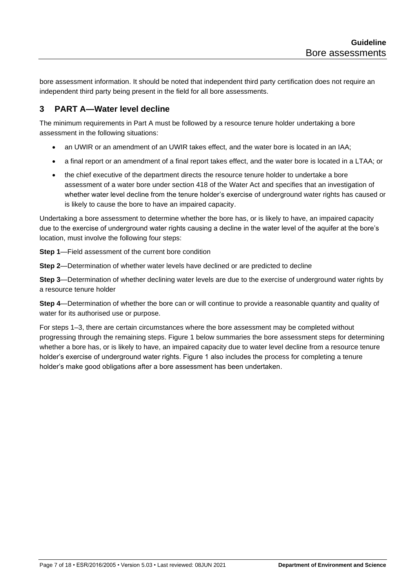bore assessment information. It should be noted that independent third party certification does not require an independent third party being present in the field for all bore assessments.

## <span id="page-6-0"></span>**3 PART A—Water level decline**

The minimum requirements in Part A must be followed by a resource tenure holder undertaking a bore assessment in the following situations:

- an UWIR or an amendment of an UWIR takes effect, and the water bore is located in an IAA;
- a final report or an amendment of a final report takes effect, and the water bore is located in a LTAA; or
- the chief executive of the department directs the resource tenure holder to undertake a bore assessment of a water bore under section 418 of the Water Act and specifies that an investigation of whether water level decline from the tenure holder's exercise of underground water rights has caused or is likely to cause the bore to have an impaired capacity.

Undertaking a bore assessment to determine whether the bore has, or is likely to have, an impaired capacity due to the exercise of underground water rights causing a decline in the water level of the aquifer at the bore's location, must involve the following four steps:

**Step 1**—Field assessment of the current bore condition

**Step 2**—Determination of whether water levels have declined or are predicted to decline

**Step 3**—Determination of whether declining water levels are due to the exercise of underground water rights by a resource tenure holder

**Step 4—Determination of whether the bore can or will continue to provide a reasonable quantity and quality of** water for its authorised use or purpose.

For steps 1–3, there are certain circumstances where the bore assessment may be completed without progressing through the remaining steps. Figure 1 below summaries the bore assessment steps for determining whether a bore has, or is likely to have, an impaired capacity due to water level decline from a resource tenure holder's exercise of underground water rights. Figure 1 also includes the process for completing a tenure holder's make good obligations after a bore assessment has been undertaken.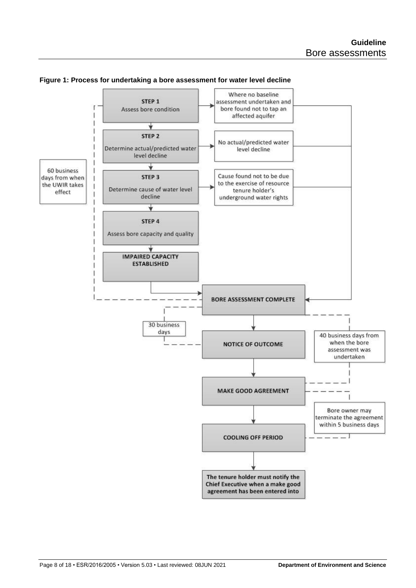

#### **Figure 1: Process for undertaking a bore assessment for water level decline**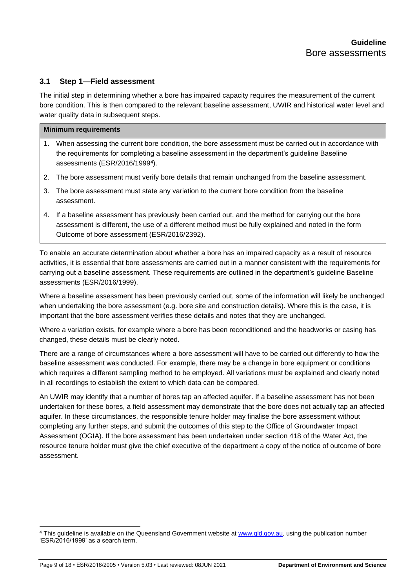## <span id="page-8-0"></span>**3.1 Step 1—Field assessment**

The initial step in determining whether a bore has impaired capacity requires the measurement of the current bore condition. This is then compared to the relevant baseline assessment, UWIR and historical water level and water quality data in subsequent steps.

#### **Minimum requirements**

- 1. When assessing the current bore condition, the bore assessment must be carried out in accordance with the requirements for completing a baseline assessment in the department's guideline Baseline assessments (ESR/2016/1999<sup>4</sup> ).
- 2. The bore assessment must verify bore details that remain unchanged from the baseline assessment.
- 3. The bore assessment must state any variation to the current bore condition from the baseline assessment.
- 4. If a baseline assessment has previously been carried out, and the method for carrying out the bore assessment is different, the use of a different method must be fully explained and noted in the form Outcome of bore assessment (ESR/2016/2392).

To enable an accurate determination about whether a bore has an impaired capacity as a result of resource activities, it is essential that bore assessments are carried out in a manner consistent with the requirements for carrying out a baseline assessment. These requirements are outlined in the department's guideline Baseline assessments (ESR/2016/1999).

Where a baseline assessment has been previously carried out, some of the information will likely be unchanged when undertaking the bore assessment (e.g. bore site and construction details). Where this is the case, it is important that the bore assessment verifies these details and notes that they are unchanged.

Where a variation exists, for example where a bore has been reconditioned and the headworks or casing has changed, these details must be clearly noted.

There are a range of circumstances where a bore assessment will have to be carried out differently to how the baseline assessment was conducted. For example, there may be a change in bore equipment or conditions which requires a different sampling method to be employed. All variations must be explained and clearly noted in all recordings to establish the extent to which data can be compared.

An UWIR may identify that a number of bores tap an affected aquifer. If a baseline assessment has not been undertaken for these bores, a field assessment may demonstrate that the bore does not actually tap an affected aquifer. In these circumstances, the responsible tenure holder may finalise the bore assessment without completing any further steps, and submit the outcomes of this step to the Office of Groundwater Impact Assessment (OGIA). If the bore assessment has been undertaken under section 418 of the Water Act, the resource tenure holder must give the chief executive of the department a copy of the notice of outcome of bore assessment.

<sup>&</sup>lt;sup>4</sup> This guideline is available on the Queensland Government website at [www.qld.gov.au,](http://www.qld.gov.au/) using the publication number 'ESR/2016/1999' as a search term.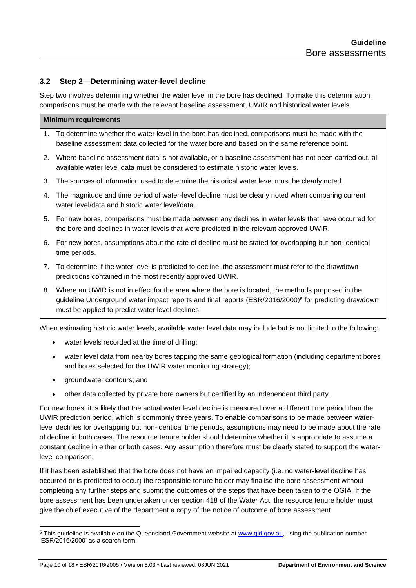## <span id="page-9-0"></span>**3.2 Step 2—Determining water-level decline**

Step two involves determining whether the water level in the bore has declined. To make this determination, comparisons must be made with the relevant baseline assessment, UWIR and historical water levels.

| <b>Minimum requirements</b> |                                                                                                                                                                                                                                                                             |  |  |  |
|-----------------------------|-----------------------------------------------------------------------------------------------------------------------------------------------------------------------------------------------------------------------------------------------------------------------------|--|--|--|
|                             | To determine whether the water level in the bore has declined, comparisons must be made with the<br>$1_{\cdot}$<br>baseline assessment data collected for the water bore and based on the same reference point.                                                             |  |  |  |
| 2.                          | Where baseline assessment data is not available, or a baseline assessment has not been carried out, all<br>available water level data must be considered to estimate historic water levels.                                                                                 |  |  |  |
| 3.                          | The sources of information used to determine the historical water level must be clearly noted.                                                                                                                                                                              |  |  |  |
| 4.                          | The magnitude and time period of water-level decline must be clearly noted when comparing current<br>water level/data and historic water level/data.                                                                                                                        |  |  |  |
| 5.                          | For new bores, comparisons must be made between any declines in water levels that have occurred for<br>the bore and declines in water levels that were predicted in the relevant approved UWIR.                                                                             |  |  |  |
| 6.                          | For new bores, assumptions about the rate of decline must be stated for overlapping but non-identical<br>time periods.                                                                                                                                                      |  |  |  |
| 7.                          | To determine if the water level is predicted to decline, the assessment must refer to the drawdown<br>predictions contained in the most recently approved UWIR.                                                                                                             |  |  |  |
| 8.                          | Where an UWIR is not in effect for the area where the bore is located, the methods proposed in the<br>guideline Underground water impact reports and final reports (ESR/2016/2000) <sup>5</sup> for predicting drawdown<br>must be applied to predict water level declines. |  |  |  |
|                             | When estimating historic water levels, available water level data may include but is not limited to the following:<br>water levels recorded at the time of drilling;<br>$\bullet$                                                                                           |  |  |  |

- water level data from nearby bores tapping the same geological formation (including department bores and bores selected for the UWIR water monitoring strategy);
- groundwater contours; and
- other data collected by private bore owners but certified by an independent third party.

For new bores, it is likely that the actual water level decline is measured over a different time period than the UWIR prediction period, which is commonly three years. To enable comparisons to be made between waterlevel declines for overlapping but non-identical time periods, assumptions may need to be made about the rate of decline in both cases. The resource tenure holder should determine whether it is appropriate to assume a constant decline in either or both cases. Any assumption therefore must be clearly stated to support the waterlevel comparison.

If it has been established that the bore does not have an impaired capacity (i.e. no water-level decline has occurred or is predicted to occur) the responsible tenure holder may finalise the bore assessment without completing any further steps and submit the outcomes of the steps that have been taken to the OGIA. If the bore assessment has been undertaken under section 418 of the Water Act, the resource tenure holder must give the chief executive of the department a copy of the notice of outcome of bore assessment.

<sup>&</sup>lt;sup>5</sup> This guideline is available on the Queensland Government website at [www.qld.gov.au,](http://www.qld.gov.au/) using the publication number 'ESR/2016/2000' as a search term.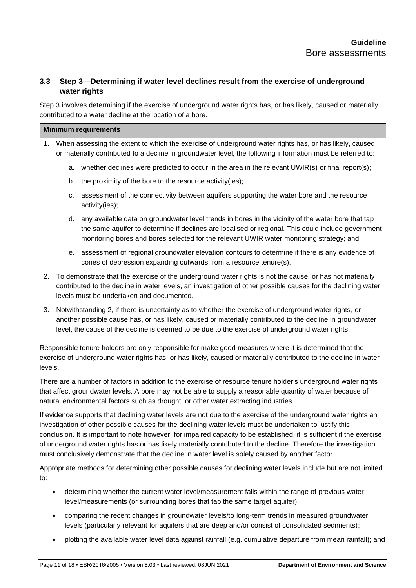## <span id="page-10-0"></span>**3.3 Step 3—Determining if water level declines result from the exercise of underground water rights**

Step 3 involves determining if the exercise of underground water rights has, or has likely, caused or materially contributed to a water decline at the location of a bore.

#### **Minimum requirements**

- 1. When assessing the extent to which the exercise of underground water rights has, or has likely, caused or materially contributed to a decline in groundwater level, the following information must be referred to:
	- a. whether declines were predicted to occur in the area in the relevant UWIR(s) or final report(s);
	- b. the proximity of the bore to the resource activity(ies);
	- c. assessment of the connectivity between aquifers supporting the water bore and the resource activity(ies);
	- d. any available data on groundwater level trends in bores in the vicinity of the water bore that tap the same aquifer to determine if declines are localised or regional. This could include government monitoring bores and bores selected for the relevant UWIR water monitoring strategy; and
	- e. assessment of regional groundwater elevation contours to determine if there is any evidence of cones of depression expanding outwards from a resource tenure(s).
- 2. To demonstrate that the exercise of the underground water rights is not the cause, or has not materially contributed to the decline in water levels, an investigation of other possible causes for the declining water levels must be undertaken and documented.
- 3. Notwithstanding 2, if there is uncertainty as to whether the exercise of underground water rights, or another possible cause has, or has likely, caused or materially contributed to the decline in groundwater level, the cause of the decline is deemed to be due to the exercise of underground water rights.

Responsible tenure holders are only responsible for make good measures where it is determined that the exercise of underground water rights has, or has likely, caused or materially contributed to the decline in water levels.

There are a number of factors in addition to the exercise of resource tenure holder's underground water rights that affect groundwater levels. A bore may not be able to supply a reasonable quantity of water because of natural environmental factors such as drought, or other water extracting industries.

If evidence supports that declining water levels are not due to the exercise of the underground water rights an investigation of other possible causes for the declining water levels must be undertaken to justify this conclusion. It is important to note however, for impaired capacity to be established, it is sufficient if the exercise of underground water rights has or has likely materially contributed to the decline. Therefore the investigation must conclusively demonstrate that the decline in water level is solely caused by another factor.

Appropriate methods for determining other possible causes for declining water levels include but are not limited to:

- determining whether the current water level/measurement falls within the range of previous water level/measurements (or surrounding bores that tap the same target aquifer);
- comparing the recent changes in groundwater levels/to long-term trends in measured groundwater levels (particularly relevant for aquifers that are deep and/or consist of consolidated sediments);
- plotting the available water level data against rainfall (e.g. cumulative departure from mean rainfall); and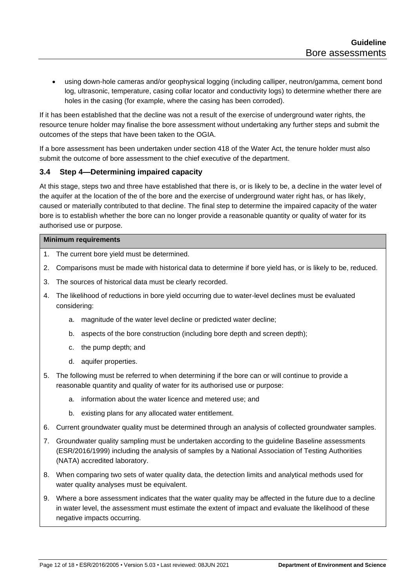• using down-hole cameras and/or geophysical logging (including calliper, neutron/gamma, cement bond log, ultrasonic, temperature, casing collar locator and conductivity logs) to determine whether there are holes in the casing (for example, where the casing has been corroded).

If it has been established that the decline was not a result of the exercise of underground water rights, the resource tenure holder may finalise the bore assessment without undertaking any further steps and submit the outcomes of the steps that have been taken to the OGIA.

If a bore assessment has been undertaken under section 418 of the Water Act, the tenure holder must also submit the outcome of bore assessment to the chief executive of the department.

## <span id="page-11-0"></span>**3.4 Step 4—Determining impaired capacity**

At this stage, steps two and three have established that there is, or is likely to be, a decline in the water level of the aquifer at the location of the of the bore and the exercise of underground water right has, or has likely, caused or materially contributed to that decline. The final step to determine the impaired capacity of the water bore is to establish whether the bore can no longer provide a reasonable quantity or quality of water for its authorised use or purpose.

#### **Minimum requirements**

- 1. The current bore yield must be determined.
- 2. Comparisons must be made with historical data to determine if bore yield has, or is likely to be, reduced.
- 3. The sources of historical data must be clearly recorded.
- 4. The likelihood of reductions in bore yield occurring due to water-level declines must be evaluated considering:
	- a. magnitude of the water level decline or predicted water decline;
	- b. aspects of the bore construction (including bore depth and screen depth);
	- c. the pump depth; and
	- d. aquifer properties.
- 5. The following must be referred to when determining if the bore can or will continue to provide a reasonable quantity and quality of water for its authorised use or purpose:
	- a. information about the water licence and metered use; and
	- b. existing plans for any allocated water entitlement.
- 6. Current groundwater quality must be determined through an analysis of collected groundwater samples.
- 7. Groundwater quality sampling must be undertaken according to the guideline Baseline assessments (ESR/2016/1999) including the analysis of samples by a National Association of Testing Authorities (NATA) accredited laboratory.
- 8. When comparing two sets of water quality data, the detection limits and analytical methods used for water quality analyses must be equivalent.
- 9. Where a bore assessment indicates that the water quality may be affected in the future due to a decline in water level, the assessment must estimate the extent of impact and evaluate the likelihood of these negative impacts occurring.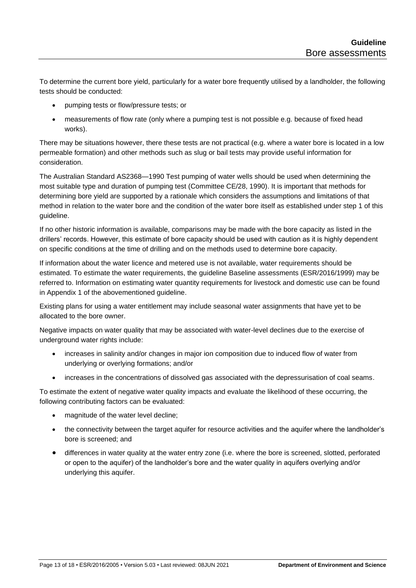To determine the current bore yield, particularly for a water bore frequently utilised by a landholder, the following tests should be conducted:

- pumping tests or flow/pressure tests; or
- measurements of flow rate (only where a pumping test is not possible e.g. because of fixed head works).

There may be situations however, there these tests are not practical (e.g. where a water bore is located in a low permeable formation) and other methods such as slug or bail tests may provide useful information for consideration.

The Australian Standard AS2368—1990 Test pumping of water wells should be used when determining the most suitable type and duration of pumping test (Committee CE/28, 1990). It is important that methods for determining bore yield are supported by a rationale which considers the assumptions and limitations of that method in relation to the water bore and the condition of the water bore itself as established under step 1 of this guideline.

If no other historic information is available, comparisons may be made with the bore capacity as listed in the drillers' records. However, this estimate of bore capacity should be used with caution as it is highly dependent on specific conditions at the time of drilling and on the methods used to determine bore capacity.

If information about the water licence and metered use is not available, water requirements should be estimated. To estimate the water requirements, the guideline Baseline assessments (ESR/2016/1999) may be referred to. Information on estimating water quantity requirements for livestock and domestic use can be found in Appendix 1 of the abovementioned guideline.

Existing plans for using a water entitlement may include seasonal water assignments that have yet to be allocated to the bore owner.

Negative impacts on water quality that may be associated with water-level declines due to the exercise of underground water rights include:

- increases in salinity and/or changes in major ion composition due to induced flow of water from underlying or overlying formations; and/or
- increases in the concentrations of dissolved gas associated with the depressurisation of coal seams.

To estimate the extent of negative water quality impacts and evaluate the likelihood of these occurring, the following contributing factors can be evaluated:

- magnitude of the water level decline;
- the connectivity between the target aquifer for resource activities and the aquifer where the landholder's bore is screened; and
- differences in water quality at the water entry zone (i.e. where the bore is screened, slotted, perforated or open to the aquifer) of the landholder's bore and the water quality in aquifers overlying and/or underlying this aquifer.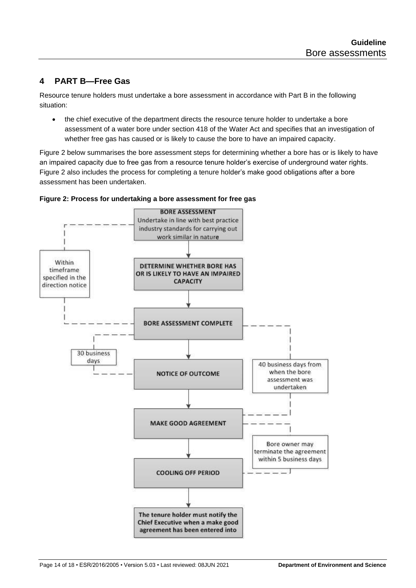## <span id="page-13-0"></span>**4 PART B—Free Gas**

Resource tenure holders must undertake a bore assessment in accordance with Part B in the following situation:

• the chief executive of the department directs the resource tenure holder to undertake a bore assessment of a water bore under section 418 of the Water Act and specifies that an investigation of whether free gas has caused or is likely to cause the bore to have an impaired capacity.

Figure 2 below summarises the bore assessment steps for determining whether a bore has or is likely to have an impaired capacity due to free gas from a resource tenure holder's exercise of underground water rights. Figure 2 also includes the process for completing a tenure holder's make good obligations after a bore assessment has been undertaken.



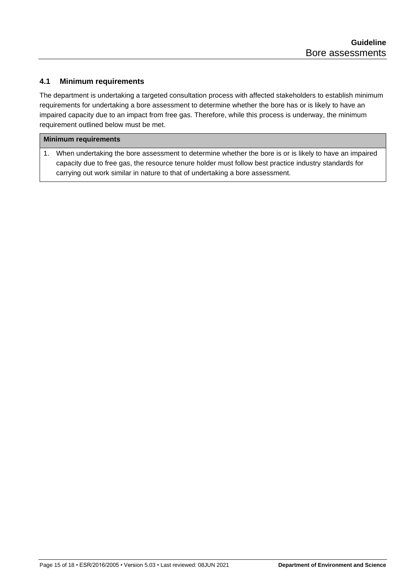## <span id="page-14-0"></span>**4.1 Minimum requirements**

The department is undertaking a targeted consultation process with affected stakeholders to establish minimum requirements for undertaking a bore assessment to determine whether the bore has or is likely to have an impaired capacity due to an impact from free gas. Therefore, while this process is underway, the minimum requirement outlined below must be met.

#### **Minimum requirements**

1. When undertaking the bore assessment to determine whether the bore is or is likely to have an impaired capacity due to free gas, the resource tenure holder must follow best practice industry standards for carrying out work similar in nature to that of undertaking a bore assessment.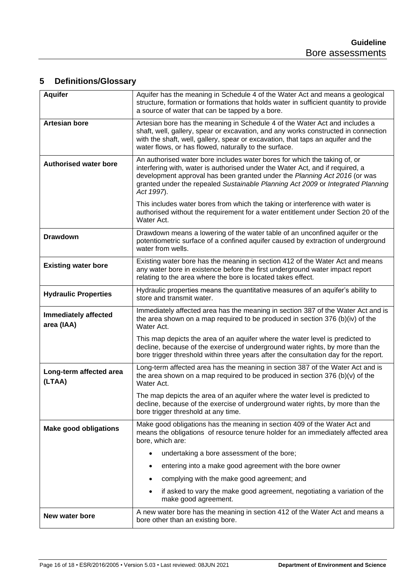## <span id="page-15-0"></span>**5 Definitions/Glossary**

| <b>Aquifer</b>                            | Aquifer has the meaning in Schedule 4 of the Water Act and means a geological<br>structure, formation or formations that holds water in sufficient quantity to provide<br>a source of water that can be tapped by a bore.                                                                                                                |  |  |
|-------------------------------------------|------------------------------------------------------------------------------------------------------------------------------------------------------------------------------------------------------------------------------------------------------------------------------------------------------------------------------------------|--|--|
| <b>Artesian bore</b>                      | Artesian bore has the meaning in Schedule 4 of the Water Act and includes a<br>shaft, well, gallery, spear or excavation, and any works constructed in connection<br>with the shaft, well, gallery, spear or excavation, that taps an aquifer and the<br>water flows, or has flowed, naturally to the surface.                           |  |  |
| <b>Authorised water bore</b>              | An authorised water bore includes water bores for which the taking of, or<br>interfering with, water is authorised under the Water Act, and if required, a<br>development approval has been granted under the Planning Act 2016 (or was<br>granted under the repealed Sustainable Planning Act 2009 or Integrated Planning<br>Act 1997). |  |  |
|                                           | This includes water bores from which the taking or interference with water is<br>authorised without the requirement for a water entitlement under Section 20 of the<br>Water Act.                                                                                                                                                        |  |  |
| <b>Drawdown</b>                           | Drawdown means a lowering of the water table of an unconfined aquifer or the<br>potentiometric surface of a confined aquifer caused by extraction of underground<br>water from wells.                                                                                                                                                    |  |  |
| <b>Existing water bore</b>                | Existing water bore has the meaning in section 412 of the Water Act and means<br>any water bore in existence before the first underground water impact report<br>relating to the area where the bore is located takes effect.                                                                                                            |  |  |
| <b>Hydraulic Properties</b>               | Hydraulic properties means the quantitative measures of an aquifer's ability to<br>store and transmit water.                                                                                                                                                                                                                             |  |  |
| <b>Immediately affected</b><br>area (IAA) | Immediately affected area has the meaning in section 387 of the Water Act and is<br>the area shown on a map required to be produced in section 376 (b)(iv) of the<br>Water Act.                                                                                                                                                          |  |  |
|                                           | This map depicts the area of an aquifer where the water level is predicted to<br>decline, because of the exercise of underground water rights, by more than the<br>bore trigger threshold within three years after the consultation day for the report.                                                                                  |  |  |
| Long-term affected area<br>(LTAA)         | Long-term affected area has the meaning in section 387 of the Water Act and is<br>the area shown on a map required to be produced in section $376$ (b)(v) of the<br>Water Act.                                                                                                                                                           |  |  |
|                                           | The map depicts the area of an aquifer where the water level is predicted to<br>decline, because of the exercise of underground water rights, by more than the<br>bore trigger threshold at any time.                                                                                                                                    |  |  |
| <b>Make good obligations</b>              | Make good obligations has the meaning in section 409 of the Water Act and<br>means the obligations of resource tenure holder for an immediately affected area<br>bore, which are:                                                                                                                                                        |  |  |
|                                           | undertaking a bore assessment of the bore;<br>$\bullet$                                                                                                                                                                                                                                                                                  |  |  |
|                                           | entering into a make good agreement with the bore owner                                                                                                                                                                                                                                                                                  |  |  |
|                                           | complying with the make good agreement; and                                                                                                                                                                                                                                                                                              |  |  |
|                                           | if asked to vary the make good agreement, negotiating a variation of the<br>$\bullet$<br>make good agreement.                                                                                                                                                                                                                            |  |  |
| New water bore                            | A new water bore has the meaning in section 412 of the Water Act and means a<br>bore other than an existing bore.                                                                                                                                                                                                                        |  |  |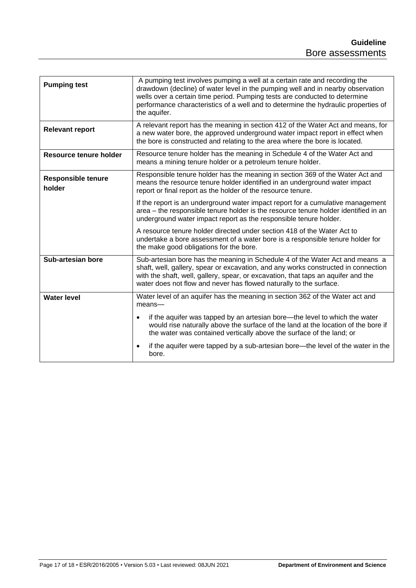| <b>Pumping test</b>                 | A pumping test involves pumping a well at a certain rate and recording the<br>drawdown (decline) of water level in the pumping well and in nearby observation<br>wells over a certain time period. Pumping tests are conducted to determine<br>performance characteristics of a well and to determine the hydraulic properties of<br>the aquifer. |  |  |
|-------------------------------------|---------------------------------------------------------------------------------------------------------------------------------------------------------------------------------------------------------------------------------------------------------------------------------------------------------------------------------------------------|--|--|
| <b>Relevant report</b>              | A relevant report has the meaning in section 412 of the Water Act and means, for<br>a new water bore, the approved underground water impact report in effect when<br>the bore is constructed and relating to the area where the bore is located.                                                                                                  |  |  |
| Resource tenure holder              | Resource tenure holder has the meaning in Schedule 4 of the Water Act and<br>means a mining tenure holder or a petroleum tenure holder.                                                                                                                                                                                                           |  |  |
| <b>Responsible tenure</b><br>holder | Responsible tenure holder has the meaning in section 369 of the Water Act and<br>means the resource tenure holder identified in an underground water impact<br>report or final report as the holder of the resource tenure.                                                                                                                       |  |  |
|                                     | If the report is an underground water impact report for a cumulative management<br>area - the responsible tenure holder is the resource tenure holder identified in an<br>underground water impact report as the responsible tenure holder.                                                                                                       |  |  |
|                                     | A resource tenure holder directed under section 418 of the Water Act to<br>undertake a bore assessment of a water bore is a responsible tenure holder for<br>the make good obligations for the bore.                                                                                                                                              |  |  |
| Sub-artesian bore                   | Sub-artesian bore has the meaning in Schedule 4 of the Water Act and means a<br>shaft, well, gallery, spear or excavation, and any works constructed in connection<br>with the shaft, well, gallery, spear, or excavation, that taps an aquifer and the<br>water does not flow and never has flowed naturally to the surface.                     |  |  |
| <b>Water level</b>                  | Water level of an aquifer has the meaning in section 362 of the Water act and<br>$mean$ s—                                                                                                                                                                                                                                                        |  |  |
|                                     | if the aquifer was tapped by an artesian bore—the level to which the water<br>would rise naturally above the surface of the land at the location of the bore if<br>the water was contained vertically above the surface of the land; or                                                                                                           |  |  |
|                                     | if the aquifer were tapped by a sub-artesian bore—the level of the water in the<br>bore.                                                                                                                                                                                                                                                          |  |  |